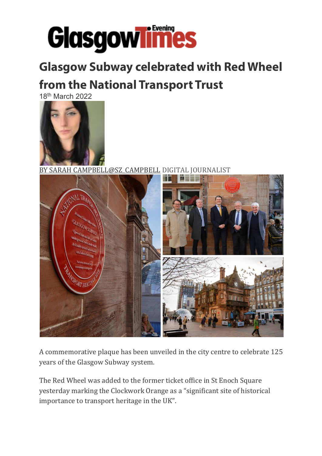

## **Glasgow Subway celebrated with Red Wheel**

## **from the National Transport Trust**

18th March 2022



BY SARAH CAMPBELL@SZ\_CAMPBELL DIGITAL JOURNALIST



A commemorative plaque has been unveiled in the city centre to celebrate 125 years of the Glasgow Subway system.

The Red Wheel was added to the former ticket office in St Enoch Square yesterday marking the Clockwork Orange as a "significant site of historical importance to transport heritage in the UK".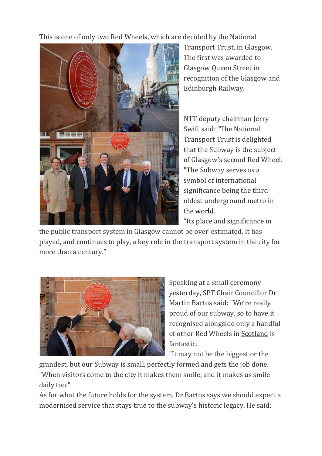This is one of only two Red Wheels, which are decided by the National



Transport Trust, in Glasgow. The first was awarded to Glasgow Queen Street in recognition of the Glasgow and Edinburgh Railway.

NTT deputy chairman Jerry Swift said: "The National Transport Trust is delighted that the Subway is the subject of Glasgow's second Red Wheel. "The Subway serves as a symbol of international significance being the thirdoldest underground metro in the world.

"Its place and significance in

the public transport system in Glasgow cannot be over-estimated. It has played, and continues to play, a key role in the transport system in the city for more than a century."



Speaking at a small ceremony yesterday, SPT Chair Councillor Dr Martin Bartos said: "We're really proud of our subway, so to have it recognised alongside only a handful of other Red Wheels in Scotland is fantastic.

"It may not be the biggest or the

grandest, but our Subway is small, perfectly formed and gets the job done. "When visitors come to the city it makes them smile, and it makes us smile daily too."

As for what the future holds for the system, Dr Bartos says we should expect a modernised service that stays true to the subway's historic legacy. He said: